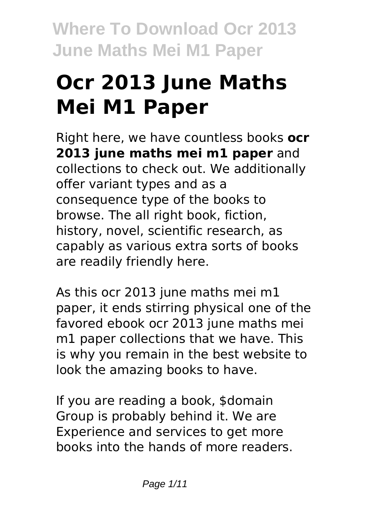# **Ocr 2013 June Maths Mei M1 Paper**

Right here, we have countless books **ocr 2013 june maths mei m1 paper** and collections to check out. We additionally offer variant types and as a consequence type of the books to browse. The all right book, fiction, history, novel, scientific research, as capably as various extra sorts of books are readily friendly here.

As this ocr 2013 june maths mei m1 paper, it ends stirring physical one of the favored ebook ocr 2013 june maths mei m1 paper collections that we have. This is why you remain in the best website to look the amazing books to have.

If you are reading a book, \$domain Group is probably behind it. We are Experience and services to get more books into the hands of more readers.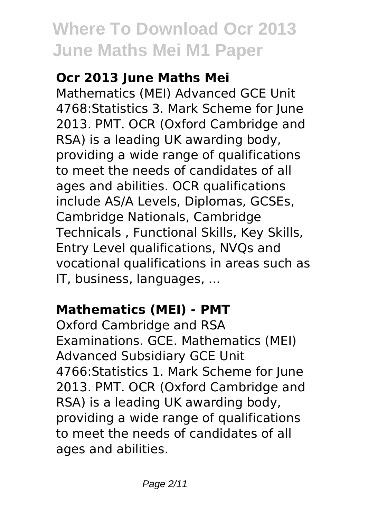# **Ocr 2013 June Maths Mei**

Mathematics (MEI) Advanced GCE Unit 4768:Statistics 3. Mark Scheme for June 2013. PMT. OCR (Oxford Cambridge and RSA) is a leading UK awarding body, providing a wide range of qualifications to meet the needs of candidates of all ages and abilities. OCR qualifications include AS/A Levels, Diplomas, GCSEs, Cambridge Nationals, Cambridge Technicals , Functional Skills, Key Skills, Entry Level qualifications, NVQs and vocational qualifications in areas such as IT, business, languages, ...

# **Mathematics (MEI) - PMT**

Oxford Cambridge and RSA Examinations. GCE. Mathematics (MEI) Advanced Subsidiary GCE Unit 4766:Statistics 1. Mark Scheme for June 2013. PMT. OCR (Oxford Cambridge and RSA) is a leading UK awarding body, providing a wide range of qualifications to meet the needs of candidates of all ages and abilities.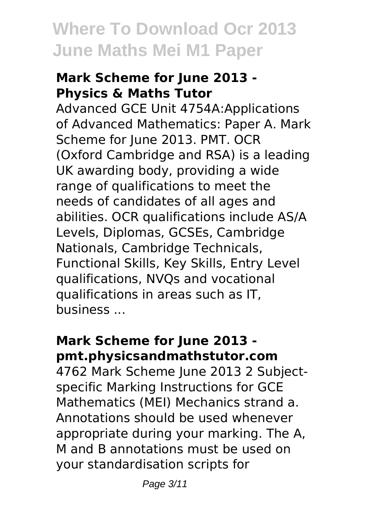#### **Mark Scheme for June 2013 - Physics & Maths Tutor**

Advanced GCE Unit 4754A:Applications of Advanced Mathematics: Paper A. Mark Scheme for June 2013. PMT. OCR (Oxford Cambridge and RSA) is a leading UK awarding body, providing a wide range of qualifications to meet the needs of candidates of all ages and abilities. OCR qualifications include AS/A Levels, Diplomas, GCSEs, Cambridge Nationals, Cambridge Technicals, Functional Skills, Key Skills, Entry Level qualifications, NVQs and vocational qualifications in areas such as IT, business ...

#### **Mark Scheme for June 2013 pmt.physicsandmathstutor.com**

4762 Mark Scheme June 2013 2 Subjectspecific Marking Instructions for GCE Mathematics (MEI) Mechanics strand a. Annotations should be used whenever appropriate during your marking. The A, M and B annotations must be used on your standardisation scripts for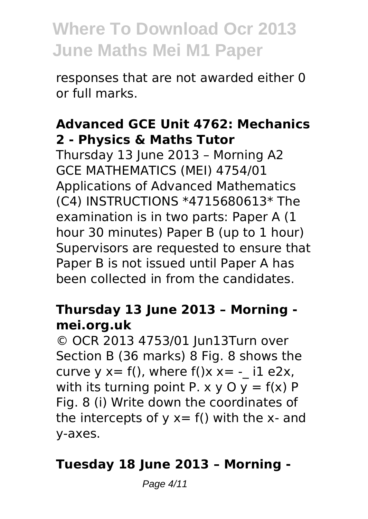responses that are not awarded either 0 or full marks.

#### **Advanced GCE Unit 4762: Mechanics 2 - Physics & Maths Tutor**

Thursday 13 June 2013 – Morning A2 GCE MATHEMATICS (MEI) 4754/01 Applications of Advanced Mathematics (C4) INSTRUCTIONS \*4715680613\* The examination is in two parts: Paper A (1 hour 30 minutes) Paper B (up to 1 hour) Supervisors are requested to ensure that Paper B is not issued until Paper A has been collected in from the candidates.

#### **Thursday 13 June 2013 – Morning mei.org.uk**

© OCR 2013 4753/01 Jun13Turn over Section B (36 marks) 8 Fig. 8 shows the curve  $y = f($ ), where  $f(x) = -11$  e2x, with its turning point P.  $x \vee 0$   $y = f(x)$  P Fig. 8 (i) Write down the coordinates of the intercepts of  $y = f()$  with the x- and y-axes.

#### **Tuesday 18 June 2013 – Morning -**

Page 4/11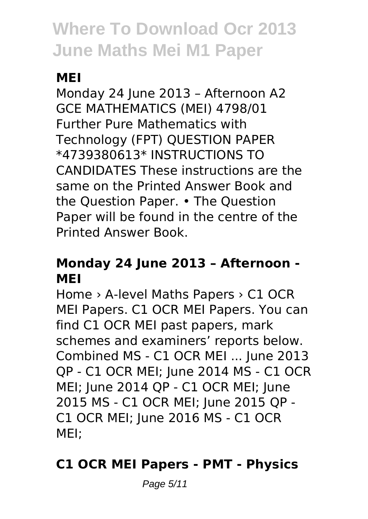# **MEI**

Monday 24 June 2013 – Afternoon A2 GCE MATHEMATICS (MEI) 4798/01 Further Pure Mathematics with Technology (FPT) QUESTION PAPER \*4739380613\* INSTRUCTIONS TO CANDIDATES These instructions are the same on the Printed Answer Book and the Question Paper. • The Question Paper will be found in the centre of the Printed Answer Book.

### **Monday 24 June 2013 – Afternoon - MEI**

Home › A-level Maths Papers › C1 OCR MEI Papers. C1 OCR MEI Papers. You can find C1 OCR MEI past papers, mark schemes and examiners' reports below. Combined MS - C1 OCR MEI ... June 2013 QP - C1 OCR MEI; June 2014 MS - C1 OCR MEI; June 2014 QP - C1 OCR MEI; June 2015 MS - C1 OCR MEI; June 2015 QP - C1 OCR MEI; June 2016 MS - C1 OCR MEI;

### **C1 OCR MEI Papers - PMT - Physics**

Page 5/11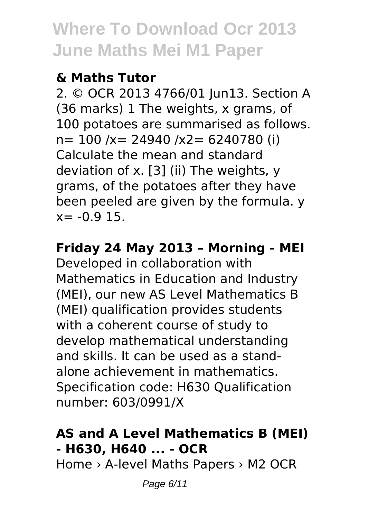### **& Maths Tutor**

2. © OCR 2013 4766/01 Jun13. Section A (36 marks) 1 The weights, x grams, of 100 potatoes are summarised as follows. n= 100 /x= 24940 /x2= 6240780 (i) Calculate the mean and standard deviation of x. [3] (ii) The weights, y grams, of the potatoes after they have been peeled are given by the formula. y  $x = -0.915$ .

### **Friday 24 May 2013 – Morning - MEI**

Developed in collaboration with Mathematics in Education and Industry (MEI), our new AS Level Mathematics B (MEI) qualification provides students with a coherent course of study to develop mathematical understanding and skills. It can be used as a standalone achievement in mathematics. Specification code: H630 Qualification number: 603/0991/X

# **AS and A Level Mathematics B (MEI) - H630, H640 ... - OCR**

Home › A-level Maths Papers › M2 OCR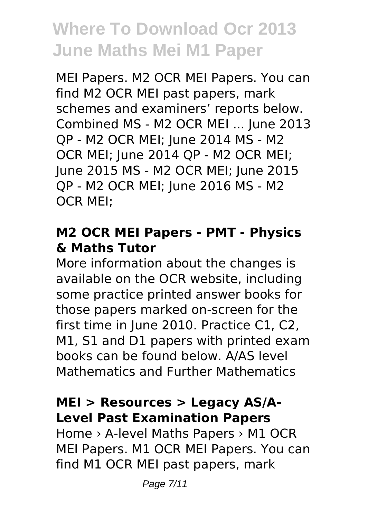MEI Papers. M2 OCR MEI Papers. You can find M2 OCR MEI past papers, mark schemes and examiners' reports below. Combined MS - M2 OCR MEI ... June 2013 QP - M2 OCR MEI; June 2014 MS - M2 OCR MEI; June 2014 QP - M2 OCR MEI; June 2015 MS - M2 OCR MEI; June 2015 QP - M2 OCR MEI; June 2016 MS - M2 OCR MEI;

#### **M2 OCR MEI Papers - PMT - Physics & Maths Tutor**

More information about the changes is available on the OCR website, including some practice printed answer books for those papers marked on-screen for the first time in June 2010. Practice C1, C2, M1, S1 and D1 papers with printed exam books can be found below. A/AS level Mathematics and Further Mathematics

### **MEI > Resources > Legacy AS/A-Level Past Examination Papers**

Home › A-level Maths Papers › M1 OCR MEI Papers. M1 OCR MEI Papers. You can find M1 OCR MEI past papers, mark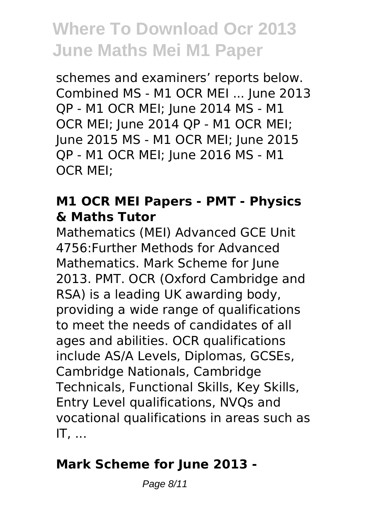schemes and examiners' reports below. Combined MS - M1 OCR MEI ... June 2013 QP - M1 OCR MEI; June 2014 MS - M1 OCR MEI; June 2014 QP - M1 OCR MEI; June 2015 MS - M1 OCR MEI; June 2015 QP - M1 OCR MEI; June 2016 MS - M1 OCR MEI;

#### **M1 OCR MEI Papers - PMT - Physics & Maths Tutor**

Mathematics (MEI) Advanced GCE Unit 4756:Further Methods for Advanced Mathematics. Mark Scheme for June 2013. PMT. OCR (Oxford Cambridge and RSA) is a leading UK awarding body, providing a wide range of qualifications to meet the needs of candidates of all ages and abilities. OCR qualifications include AS/A Levels, Diplomas, GCSEs, Cambridge Nationals, Cambridge Technicals, Functional Skills, Key Skills, Entry Level qualifications, NVQs and vocational qualifications in areas such as IT, ...

### **Mark Scheme for June 2013 -**

Page 8/11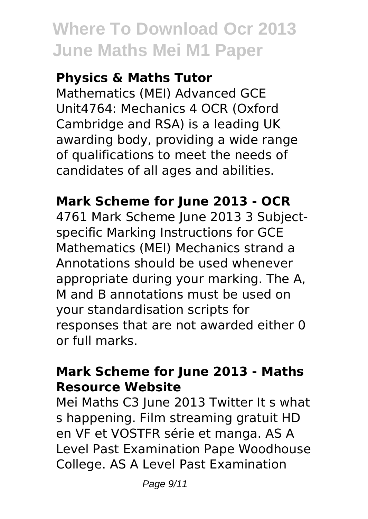### **Physics & Maths Tutor**

Mathematics (MEI) Advanced GCE Unit4764: Mechanics 4 OCR (Oxford Cambridge and RSA) is a leading UK awarding body, providing a wide range of qualifications to meet the needs of candidates of all ages and abilities.

### **Mark Scheme for June 2013 - OCR**

4761 Mark Scheme June 2013 3 Subjectspecific Marking Instructions for GCE Mathematics (MEI) Mechanics strand a Annotations should be used whenever appropriate during your marking. The A, M and B annotations must be used on your standardisation scripts for responses that are not awarded either 0 or full marks.

#### **Mark Scheme for June 2013 - Maths Resource Website**

Mei Maths C3 June 2013 Twitter It s what s happening. Film streaming gratuit HD en VF et VOSTFR série et manga. AS A Level Past Examination Pape Woodhouse College. AS A Level Past Examination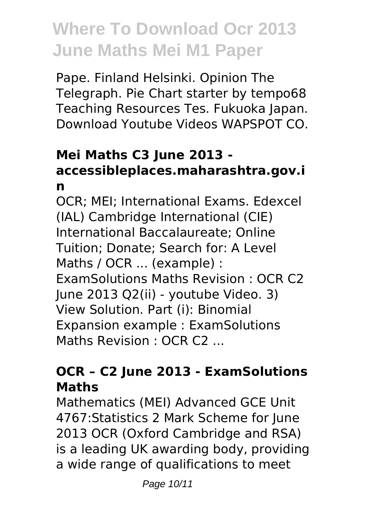Pape. Finland Helsinki. Opinion The Telegraph. Pie Chart starter by tempo68 Teaching Resources Tes. Fukuoka Japan. Download Youtube Videos WAPSPOT CO.

### **Mei Maths C3 June 2013 accessibleplaces.maharashtra.gov.i n**

OCR; MEI; International Exams. Edexcel (IAL) Cambridge International (CIE) International Baccalaureate; Online Tuition; Donate; Search for: A Level Maths / OCR ... (example) : ExamSolutions Maths Revision : OCR C2 June 2013 Q2(ii) - youtube Video. 3) View Solution. Part (i): Binomial Expansion example : ExamSolutions Maths Revision : OCR C2 ...

#### **OCR – C2 June 2013 - ExamSolutions Maths**

Mathematics (MEI) Advanced GCE Unit 4767:Statistics 2 Mark Scheme for June 2013 OCR (Oxford Cambridge and RSA) is a leading UK awarding body, providing a wide range of qualifications to meet